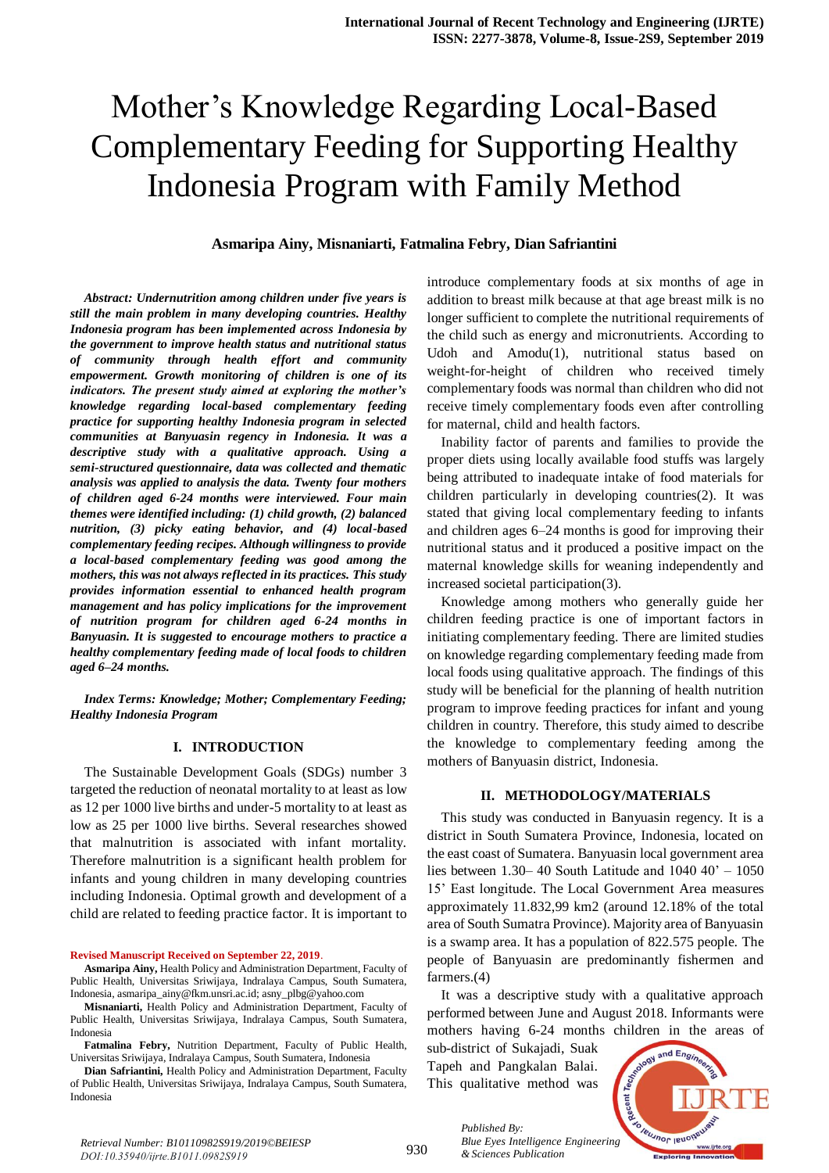# Mother's Knowledge Regarding Local-Based Complementary Feeding for Supporting Healthy Indonesia Program with Family Method

#### **Asmaripa Ainy, Misnaniarti, Fatmalina Febry, Dian Safriantini**

*Abstract: Undernutrition among children under five years is still the main problem in many developing countries. Healthy Indonesia program has been implemented across Indonesia by the government to improve health status and nutritional status of community through health effort and community empowerment. Growth monitoring of children is one of its indicators. The present study aimed at exploring the mother's knowledge regarding local-based complementary feeding practice for supporting healthy Indonesia program in selected communities at Banyuasin regency in Indonesia. It was a descriptive study with a qualitative approach. Using a semi-structured questionnaire, data was collected and thematic analysis was applied to analysis the data. Twenty four mothers of children aged 6-24 months were interviewed. Four main themes were identified including: (1) child growth, (2) balanced nutrition, (3) picky eating behavior, and (4) local-based complementary feeding recipes. Although willingness to provide a local-based complementary feeding was good among the mothers, this was not always reflected in its practices. This study provides information essential to enhanced health program management and has policy implications for the improvement of nutrition program for children aged 6-24 months in Banyuasin. It is suggested to encourage mothers to practice a healthy complementary feeding made of local foods to children aged 6–24 months.*

*Index Terms: Knowledge; Mother; Complementary Feeding; Healthy Indonesia Program* 

#### **I. INTRODUCTION**

The Sustainable Development Goals (SDGs) number 3 targeted the reduction of neonatal mortality to at least as low as 12 per 1000 live births and under-5 mortality to at least as low as 25 per 1000 live births. Several researches showed that malnutrition is associated with infant mortality. Therefore malnutrition is a significant health problem for infants and young children in many developing countries including Indonesia. Optimal growth and development of a child are related to feeding practice factor. It is important to

**Revised Manuscript Received on September 22, 2019**.

**Asmaripa Ainy,** Health Policy and Administration Department, Faculty of Public Health, Universitas Sriwijaya, Indralaya Campus, South Sumatera, Indonesia[, asmaripa\\_ainy@fkm.unsri.ac.id;](mailto:asmaripa_ainy@fkm.unsri.ac.id) [asny\\_plbg@yahoo.com](mailto:asny_plbg@yahoo.com)

**Misnaniarti,** Health Policy and Administration Department, Faculty of Public Health, Universitas Sriwijaya, Indralaya Campus, South Sumatera, Indonesia

**Fatmalina Febry,** Nutrition Department, Faculty of Public Health, Universitas Sriwijaya, Indralaya Campus, South Sumatera, Indonesia

**Dian Safriantini,** Health Policy and Administration Department, Faculty of Public Health, Universitas Sriwijaya, Indralaya Campus, South Sumatera, Indonesia

introduce complementary foods at six months of age in addition to breast milk because at that age breast milk is no longer sufficient to complete the nutritional requirements of the child such as energy and micronutrients. According to Udoh and Amodu(1), nutritional status based on weight-for-height of children who received timely complementary foods was normal than children who did not receive timely complementary foods even after controlling for maternal, child and health factors.

Inability factor of parents and families to provide the proper diets using locally available food stuffs was largely being attributed to inadequate intake of food materials for children particularly in developing countries(2). It was stated that giving local complementary feeding to infants and children ages 6–24 months is good for improving their nutritional status and it produced a positive impact on the maternal knowledge skills for weaning independently and increased societal participation(3).

Knowledge among mothers who generally guide her children feeding practice is one of important factors in initiating complementary feeding. There are limited studies on knowledge regarding complementary feeding made from local foods using qualitative approach. The findings of this study will be beneficial for the planning of health nutrition program to improve feeding practices for infant and young children in country. Therefore, this study aimed to describe the knowledge to complementary feeding among the mothers of Banyuasin district, Indonesia.

#### **II. METHODOLOGY/MATERIALS**

This study was conducted in Banyuasin regency. It is a district in South Sumatera Province, Indonesia, located on the east coast of Sumatera. Banyuasin local government area lies between 1.30– 40 South Latitude and 1040 40' – 1050 15' East longitude. The Local Government Area measures approximately 11.832,99 km2 (around 12.18% of the total area of South Sumatra Province). Majority area of Banyuasin is a swamp area. It has a population of 822.575 people. The people of Banyuasin are predominantly fishermen and farmers.(4)

It was a descriptive study with a qualitative approach performed between June and August 2018. Informants were mothers having 6-24 months children in the areas of

sub-district of Sukajadi, Suak Tapeh and Pangkalan Balai. This qualitative method was

*& Sciences Publication* 

*Published By:*



930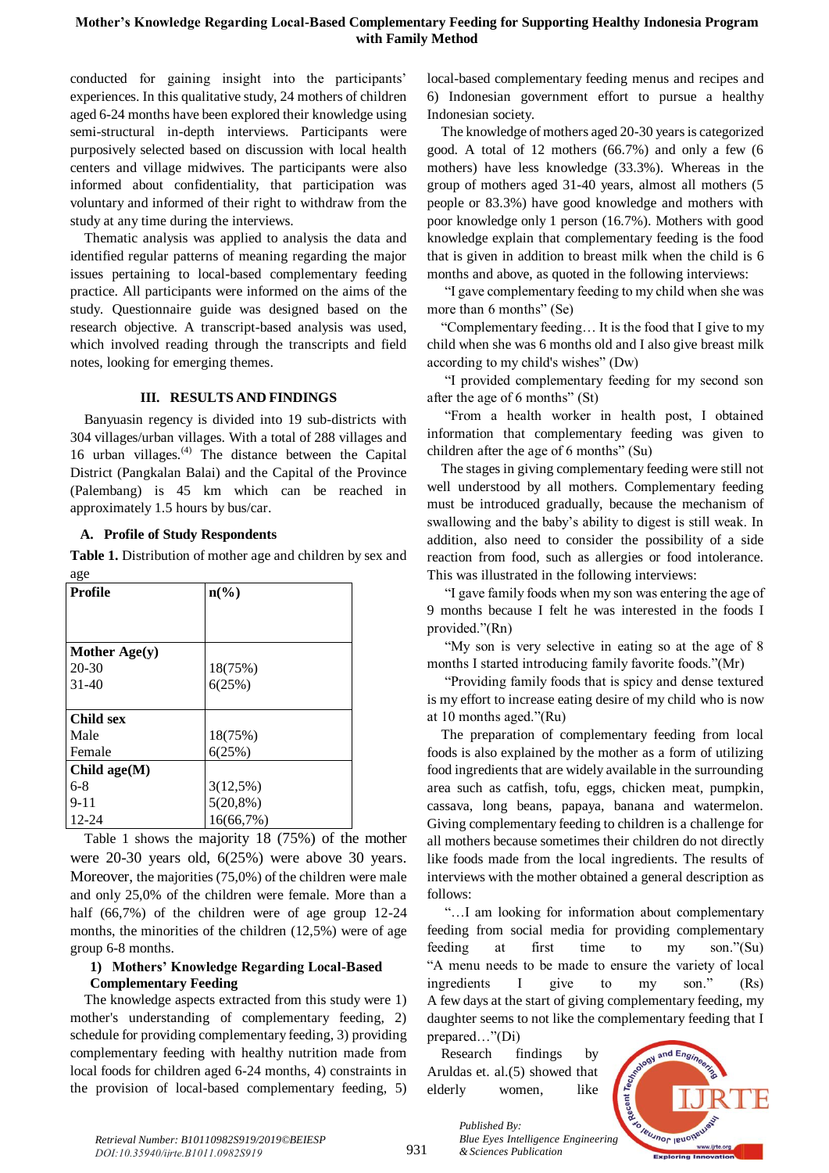### **Mother's Knowledge Regarding Local-Based Complementary Feeding for Supporting Healthy Indonesia Program with Family Method**

conducted for gaining insight into the participants' experiences. In this qualitative study, 24 mothers of children aged 6-24 months have been explored their knowledge using semi-structural in-depth interviews. Participants were purposively selected based on discussion with local health centers and village midwives. The participants were also informed about confidentiality, that participation was voluntary and informed of their right to withdraw from the study at any time during the interviews.

Thematic analysis was applied to analysis the data and identified regular patterns of meaning regarding the major issues pertaining to local-based complementary feeding practice. All participants were informed on the aims of the study. Questionnaire guide was designed based on the research objective. A transcript-based analysis was used, which involved reading through the transcripts and field notes, looking for emerging themes.

#### **III. RESULTS AND FINDINGS**

Banyuasin regency is divided into 19 sub-districts with 304 villages/urban villages. With a total of 288 villages and 16 urban villages. $(4)$  The distance between the Capital District (Pangkalan Balai) and the Capital of the Province (Palembang) is 45 km which can be reached in approximately 1.5 hours by bus/car.

#### **A. Profile of Study Respondents**

**Table 1.** Distribution of mother age and children by sex and age

| ັ<br><b>Profile</b> | $n\left(\frac{6}{6}\right)$ |
|---------------------|-----------------------------|
|                     |                             |
|                     |                             |
| Mother Age(y)       |                             |
| $20 - 30$           | 18(75%)                     |
| $31-40$             | 6(25%)                      |
|                     |                             |
| <b>Child sex</b>    |                             |
| Male                | 18(75%)                     |
| Female              | 6(25%)                      |
| Child $age(M)$      |                             |
| $6-8$               | 3(12,5%)                    |
| $9 - 11$            | $5(20,8\%)$                 |
| 12-24               | 16(66,7%)                   |

Table 1 shows the majority 18 (75%) of the mother were 20-30 years old, 6(25%) were above 30 years. Moreover, the majorities (75,0%) of the children were male and only 25,0% of the children were female. More than a half (66,7%) of the children were of age group 12-24 months, the minorities of the children (12,5%) were of age group 6-8 months.

#### **1) Mothers' Knowledge Regarding Local-Based Complementary Feeding**

The knowledge aspects extracted from this study were 1) mother's understanding of complementary feeding, 2) schedule for providing complementary feeding, 3) providing complementary feeding with healthy nutrition made from local foods for children aged 6-24 months, 4) constraints in the provision of local-based complementary feeding, 5)

local-based complementary feeding menus and recipes and 6) Indonesian government effort to pursue a healthy Indonesian society.

The knowledge of mothers aged 20-30 years is categorized good. A total of 12 mothers (66.7%) and only a few (6 mothers) have less knowledge (33.3%). Whereas in the group of mothers aged 31-40 years, almost all mothers (5 people or 83.3%) have good knowledge and mothers with poor knowledge only 1 person (16.7%). Mothers with good knowledge explain that complementary feeding is the food that is given in addition to breast milk when the child is 6 months and above, as quoted in the following interviews:

"I gave complementary feeding to my child when she was more than 6 months" (Se)

"Complementary feeding… It is the food that I give to my child when she was 6 months old and I also give breast milk according to my child's wishes" (Dw)

"I provided complementary feeding for my second son after the age of 6 months" (St)

"From a health worker in health post, I obtained information that complementary feeding was given to children after the age of 6 months" (Su)

The stages in giving complementary feeding were still not well understood by all mothers. Complementary feeding must be introduced gradually, because the mechanism of swallowing and the baby's ability to digest is still weak. In addition, also need to consider the possibility of a side reaction from food, such as allergies or food intolerance. This was illustrated in the following interviews:

"I gave family foods when my son was entering the age of 9 months because I felt he was interested in the foods I provided."(Rn)

"My son is very selective in eating so at the age of 8 months I started introducing family favorite foods."(Mr)

"Providing family foods that is spicy and dense textured is my effort to increase eating desire of my child who is now at 10 months aged."(Ru)

The preparation of complementary feeding from local foods is also explained by the mother as a form of utilizing food ingredients that are widely available in the surrounding area such as catfish, tofu, eggs, chicken meat, pumpkin, cassava, long beans, papaya, banana and watermelon. Giving complementary feeding to children is a challenge for all mothers because sometimes their children do not directly like foods made from the local ingredients. The results of interviews with the mother obtained a general description as follows:

"…I am looking for information about complementary feeding from social media for providing complementary feeding at first time to my son."(Su) "A menu needs to be made to ensure the variety of local ingredients I give to my son." (Rs) A few days at the start of giving complementary feeding, my daughter seems to not like the complementary feeding that I prepared…"(Di)

Research findings by Aruldas et. al.(5) showed that elderly women, like



931

*Published By: Blue Eyes Intelligence Engineering & Sciences Publication*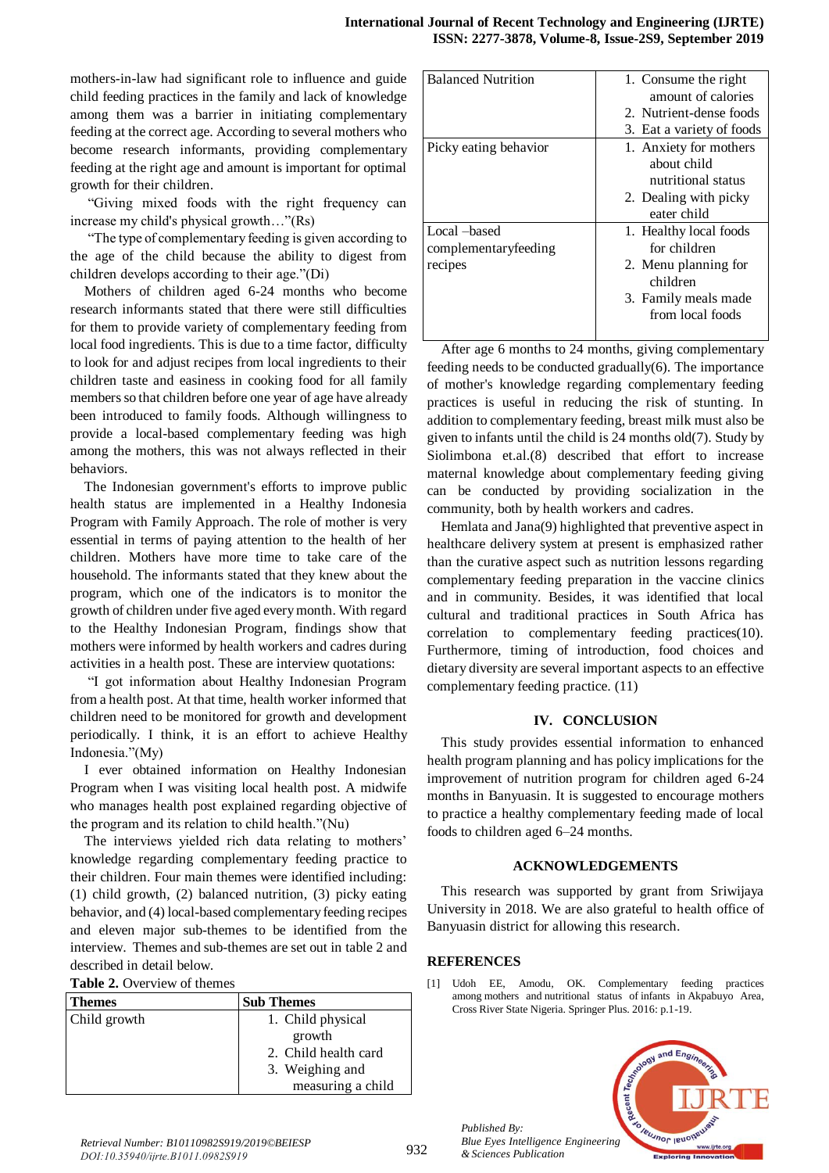mothers-in-law had significant role to influence and guide child feeding practices in the family and lack of knowledge among them was a barrier in initiating complementary feeding at the correct age. According to several mothers who become research informants, providing complementary feeding at the right age and amount is important for optimal growth for their children.

"Giving mixed foods with the right frequency can increase my child's physical growth…"(Rs)

"The type of complementary feeding is given according to the age of the child because the ability to digest from children develops according to their age."(Di)

Mothers of children aged 6-24 months who become research informants stated that there were still difficulties for them to provide variety of complementary feeding from local food ingredients. This is due to a time factor, difficulty to look for and adjust recipes from local ingredients to their children taste and easiness in cooking food for all family members so that children before one year of age have already been introduced to family foods. Although willingness to provide a local-based complementary feeding was high among the mothers, this was not always reflected in their behaviors.

The Indonesian government's efforts to improve public health status are implemented in a Healthy Indonesia Program with Family Approach. The role of mother is very essential in terms of paying attention to the health of her children. Mothers have more time to take care of the household. The informants stated that they knew about the program, which one of the indicators is to monitor the growth of children under five aged every month. With regard to the Healthy Indonesian Program, findings show that mothers were informed by health workers and cadres during activities in a health post. These are interview quotations:

"I got information about Healthy Indonesian Program from a health post. At that time, health worker informed that children need to be monitored for growth and development periodically. I think, it is an effort to achieve Healthy Indonesia."(My)

I ever obtained information on Healthy Indonesian Program when I was visiting local health post. A midwife who manages health post explained regarding objective of the program and its relation to child health."(Nu)

The interviews yielded rich data relating to mothers' knowledge regarding complementary feeding practice to their children. Four main themes were identified including: (1) child growth, (2) balanced nutrition, (3) picky eating behavior, and (4) local-based complementary feeding recipes and eleven major sub-themes to be identified from the interview. Themes and sub-themes are set out in [table 2](https://www.ncbi.nlm.nih.gov/pmc/articles/PMC6025538/table/ijerph-15-01157-t004/) and described in detail below.

|  | <b>Table 2.</b> Overview of themes |  |
|--|------------------------------------|--|
|--|------------------------------------|--|

| <b>Themes</b> | <b>Sub Themes</b>    |
|---------------|----------------------|
| Child growth  | 1. Child physical    |
|               | growth               |
|               | 2. Child health card |
|               | 3. Weighing and      |
|               | measuring a child    |

| <b>Balanced Nutrition</b> | 1. Consume the right      |
|---------------------------|---------------------------|
|                           | amount of calories        |
|                           | 2. Nutrient-dense foods   |
|                           | 3. Eat a variety of foods |
| Picky eating behavior     | 1. Anxiety for mothers    |
|                           | about child               |
|                           | nutritional status        |
|                           | 2. Dealing with picky     |
|                           | eater child               |
| Local –based              | 1. Healthy local foods    |
| complementaryfeeding      | for children              |
| recipes                   | 2. Menu planning for      |
|                           | children                  |
|                           | 3. Family meals made      |
|                           | from local foods          |
|                           |                           |

After age 6 months to 24 months, giving complementary feeding needs to be conducted gradually(6). The importance of mother's knowledge regarding complementary feeding practices is useful in reducing the risk of stunting. In addition to complementary feeding, breast milk must also be given to infants until the child is 24 months old(7). Study by Siolimbona et.al.(8) described that effort to increase maternal knowledge about complementary feeding giving can be conducted by providing socialization in the community, both by health workers and cadres.

Hemlata and Jana(9) highlighted that preventive aspect in healthcare delivery system at present is emphasized rather than the curative aspect such as nutrition lessons regarding complementary feeding preparation in the vaccine clinics and in community. Besides, it was identified that local cultural and traditional practices in South Africa has correlation to complementary feeding practices(10). Furthermore, timing of introduction, food choices and dietary diversity are several important aspects to an effective complementary feeding practice. (11)

#### **IV. CONCLUSION**

This study provides essential information to enhanced health program planning and has policy implications for the improvement of nutrition program for children aged 6-24 months in Banyuasin. It is suggested to encourage mothers to practice a healthy complementary feeding made of local foods to children aged 6–24 months.

## **ACKNOWLEDGEMENTS**

This research was supported by grant from Sriwijaya University in 2018. We are also grateful to health office of Banyuasin district for allowing this research.

## **REFERENCES**

[1] Udoh EE, Amodu, OK. Complementary feeding practices among mothers and nutritional status of infants in Akpabuyo Area, Cross River State Nigeria. Springer Plus. 2016: p.1-19.



*Published By: Blue Eyes Intelligence Engineering & Sciences Publication*